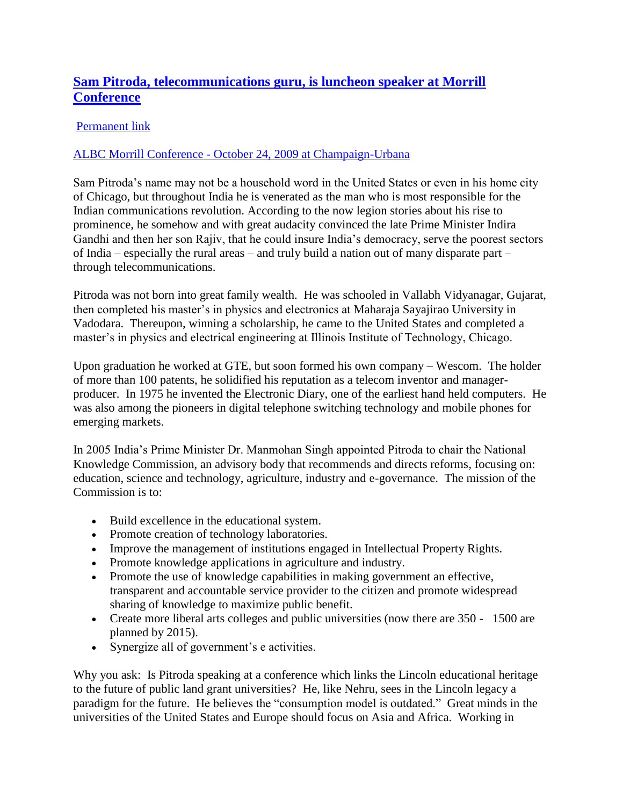## **[Sam Pitroda, telecommunications guru, is luncheon speaker at Morrill](http://www.abrahamlincoln200.org/blog-posts.aspx?id=5329&blogid=298&blogid=298)  [Conference](http://www.abrahamlincoln200.org/blog-posts.aspx?id=5329&blogid=298&blogid=298)**

## [Permanent link](http://www.abrahamlincoln200.org/blog-posts.aspx?id=5329&blogid=298&blogid=298)

## ALBC Morrill Conference - [October 24, 2009 at Champaign-Urbana](http://www.abrahamlincoln200.org/calendar/morrill-act-conference-10-23-09.aspx)

Sam Pitroda's name may not be a household word in the United States or even in his home city of Chicago, but throughout India he is venerated as the man who is most responsible for the Indian communications revolution. According to the now legion stories about his rise to prominence, he somehow and with great audacity convinced the late Prime Minister Indira Gandhi and then her son Rajiv, that he could insure India's democracy, serve the poorest sectors of India – especially the rural areas – and truly build a nation out of many disparate part – through telecommunications.

Pitroda was not born into great family wealth. He was schooled in Vallabh Vidyanagar, Gujarat, then completed his master's in physics and electronics at Maharaja Sayajirao University in Vadodara. Thereupon, winning a scholarship, he came to the United States and completed a master's in physics and electrical engineering at Illinois Institute of Technology, Chicago.

Upon graduation he worked at GTE, but soon formed his own company – Wescom. The holder of more than 100 patents, he solidified his reputation as a telecom inventor and managerproducer. In 1975 he invented the Electronic Diary, one of the earliest hand held computers. He was also among the pioneers in digital telephone switching technology and mobile phones for emerging markets.

In 2005 India's Prime Minister Dr. Manmohan Singh appointed Pitroda to chair the National Knowledge Commission, an advisory body that recommends and directs reforms, focusing on: education, science and technology, agriculture, industry and e-governance. The mission of the Commission is to:

- Build excellence in the educational system.
- Promote creation of technology laboratories.
- Improve the management of institutions engaged in Intellectual Property Rights.
- Promote knowledge applications in agriculture and industry.
- Promote the use of knowledge capabilities in making government an effective, transparent and accountable service provider to the citizen and promote widespread sharing of knowledge to maximize public benefit.
- Create more liberal arts colleges and public universities (now there are 350 1500 are planned by 2015).
- Synergize all of government's e activities.

Why you ask: Is Pitroda speaking at a conference which links the Lincoln educational heritage to the future of public land grant universities? He, like Nehru, sees in the Lincoln legacy a paradigm for the future. He believes the "consumption model is outdated." Great minds in the universities of the United States and Europe should focus on Asia and Africa. Working in